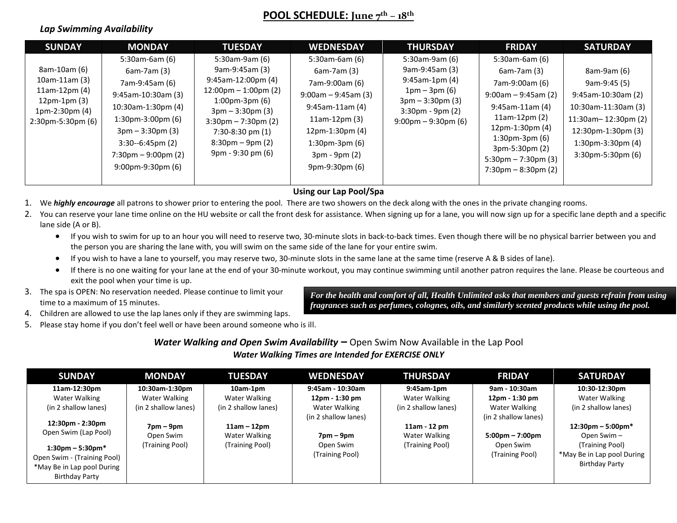## **POOL SCHEDULE: June 7 th – 18th**

### *Lap Swimming Availability*

| <b>SUNDAY</b>                                                                                                      | <b>MONDAY</b>                                                                                                                                                                                                                                        | <b>TUESDAY</b>                                                                                                                                                                                                                                                                 | <b>WEDNESDAY</b>                                                                                                                                                                                      | <b>THURSDAY</b>                                                                                                                                                                 | <b>FRIDAY</b>                                                                                                                                                                                                                                                            | <b>SATURDAY</b>                                                                                                                                                           |
|--------------------------------------------------------------------------------------------------------------------|------------------------------------------------------------------------------------------------------------------------------------------------------------------------------------------------------------------------------------------------------|--------------------------------------------------------------------------------------------------------------------------------------------------------------------------------------------------------------------------------------------------------------------------------|-------------------------------------------------------------------------------------------------------------------------------------------------------------------------------------------------------|---------------------------------------------------------------------------------------------------------------------------------------------------------------------------------|--------------------------------------------------------------------------------------------------------------------------------------------------------------------------------------------------------------------------------------------------------------------------|---------------------------------------------------------------------------------------------------------------------------------------------------------------------------|
| 8am-10am (6)<br>$10$ am-11am $(3)$<br>$11am-12pm(4)$<br>$12pm-1pm(3)$<br>$1pm-2:30pm(4)$<br>$2:30$ pm-5:30pm $(6)$ | $5:30$ am-6am $(6)$<br>6am-7am (3)<br>7am-9:45am (6)<br>9:45am-10:30am (3)<br>10:30am-1:30pm (4)<br>$1:30$ pm-3:00pm $(6)$<br>$3pm - 3:30pm (3)$<br>$3:30-6:45 \text{pm}$ (2)<br>$7:30 \text{pm} - 9:00 \text{pm}$ (2)<br>$9:00$ pm- $9:30$ pm $(6)$ | 5:30am-9am (6)<br>9am-9:45am (3)<br>$9:45$ am-12:00pm $(4)$<br>$12:00 \text{pm} - 1:00 \text{pm}$ (2)<br>$1:00$ pm-3pm $(6)$<br>$3pm - 3:30pm (3)$<br>$3:30 \text{pm} - 7:30 \text{pm} (2)$<br>$7:30-8:30$ pm $(1)$<br>$8:30 \text{pm} - 9 \text{pm} (2)$<br>9pm - 9:30 pm (6) | $5:30$ am-6am $(6)$<br>6am-7am (3)<br>7am-9:00am (6)<br>$9:00$ am - 9:45am (3)<br>$9:45$ am-11am $(4)$<br>$11am-12pm(3)$<br>12pm-1:30pm (4)<br>$1:30$ pm-3pm $(6)$<br>3pm - 9pm (2)<br>9pm-9:30pm (6) | 5:30am-9am (6)<br>9am-9:45am (3)<br>$9:45$ am-1pm $(4)$<br>$1pm - 3pm (6)$<br>$3pm - 3:30pm (3)$<br>$3:30 \text{pm} - 9 \text{pm} (2)$<br>$9:00 \text{pm} - 9:30 \text{pm}$ (6) | $5:30$ am-6am $(6)$<br>$6am-7am(3)$<br>7am-9:00am (6)<br>$9:00$ am – 9:45am (2)<br>$9:45$ am-11am $(4)$<br>$11am-12pm(2)$<br>12pm-1:30pm (4)<br>$1:30$ pm-3pm $(6)$<br>$3pm-5:30pm(2)$<br>$5:30 \text{pm} - 7:30 \text{pm} (3)$<br>$7:30 \text{pm} - 8:30 \text{pm} (2)$ | 8am-9am (6)<br>9am-9:45 (5)<br>9:45am-10:30am (2)<br>10:30am-11:30am (3)<br>11:30am-12:30pm (2)<br>12:30pm-1:30pm (3)<br>$1:30$ pm-3:30pm $(4)$<br>$3:30$ pm-5:30pm $(6)$ |

#### **Using our Lap Pool/Spa**

1. We *highly encourage* all patrons to shower prior to entering the pool. There are two showers on the deck along with the ones in the private changing rooms.

- 2. You can reserve your lane time online on the HU website or call the front desk for assistance. When signing up for a lane, you will now sign up for a specific lane depth and a specific lane side (A or B).
	- If you wish to swim for up to an hour you will need to reserve two, 30-minute slots in back-to-back times. Even though there will be no physical barrier between you and the person you are sharing the lane with, you will swim on the same side of the lane for your entire swim.
	- If you wish to have a lane to yourself, you may reserve two, 30-minute slots in the same lane at the same time (reserve A & B sides of lane).
	- If there is no one waiting for your lane at the end of your 30-minute workout, you may continue swimming until another patron requires the lane. Please be courteous and exit the pool when your time is up.
- 3. The spa is OPEN: No reservation needed. Please continue to limit your time to a maximum of 15 minutes.

*For the health and comfort of all, Health Unlimited asks that members and guests refrain from using fragrances such as perfumes, colognes, oils, and similarly scented products while using the pool.*

- 4. Children are allowed to use the lap lanes only if they are swimming laps.
- 5. Please stay home if you don't feel well or have been around someone who is ill.

*Water Walking and Open Swim Availability –* Open Swim Now Available in the Lap Pool *Water Walking Times are Intended for EXERCISE ONLY*

| <b>SUNDAY</b>                                                                                                      | <b>MONDAY</b>               | <b>TUESDAY</b>       | <b>WEDNESDAY</b>             | <b>THURSDAY</b>      | <b>FRIDAY</b>                     | <b>SATURDAY</b>                                                        |
|--------------------------------------------------------------------------------------------------------------------|-----------------------------|----------------------|------------------------------|----------------------|-----------------------------------|------------------------------------------------------------------------|
| 11am-12:30pm                                                                                                       | 10:30am-1:30pm              | 10am-1pm             | $9:45$ am - 10:30am          | 9:45am-1pm           | 9am - 10:30am                     | 10:30-12:30pm                                                          |
| Water Walking                                                                                                      | Water Walking               | Water Walking        | 12pm - 1:30 pm               | Water Walking        | 12pm - 1:30 pm                    | Water Walking                                                          |
| (in 2 shallow lanes)                                                                                               | (in 2 shallow lanes)        | (in 2 shallow lanes) | Water Walking                | (in 2 shallow lanes) | Water Walking                     | (in 2 shallow lanes)                                                   |
|                                                                                                                    |                             |                      | (in 2 shallow lanes)         |                      | (in 2 shallow lanes)              |                                                                        |
| 12:30pm - 2:30pm                                                                                                   | $7 \text{pm} - 9 \text{pm}$ | $11am - 12pm$        |                              | 11am - 12 pm         |                                   | $12:30 \text{pm} - 5:00 \text{pm}^*$                                   |
| Open Swim (Lap Pool)                                                                                               | Open Swim                   | Water Walking        | $7 \text{pm} - 9 \text{pm}$  | Water Walking        | $5:00 \text{pm} - 7:00 \text{pm}$ | Open Swim -                                                            |
| $1:30 \text{pm} - 5:30 \text{pm}^*$<br>Open Swim - (Training Pool)<br>*May Be in Lap pool During<br>Birthday Party | (Training Pool)             | (Training Pool)      | Open Swim<br>(Training Pool) | (Training Pool)      | Open Swim<br>(Training Pool)      | (Training Pool)<br>*May Be in Lap pool During<br><b>Birthday Party</b> |